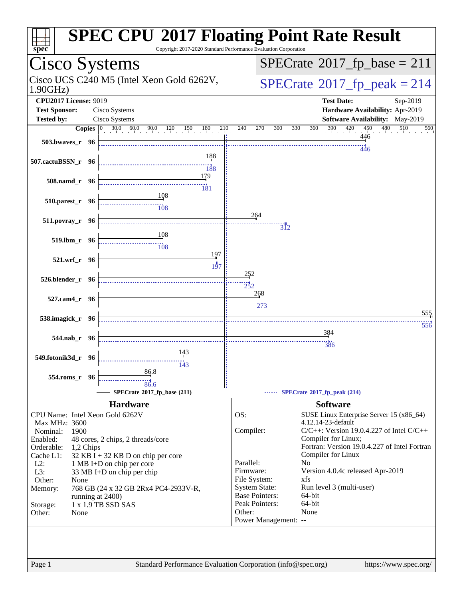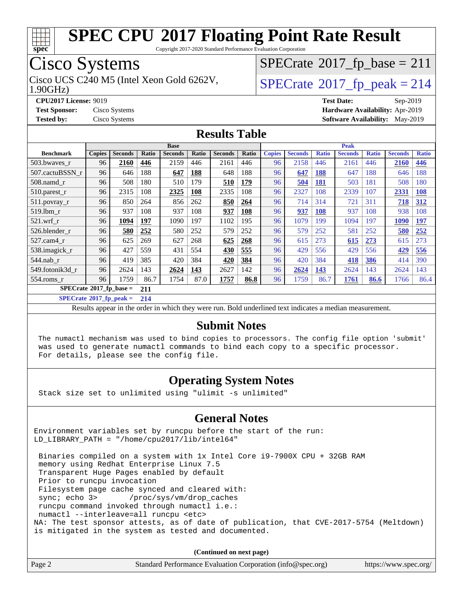

Copyright 2017-2020 Standard Performance Evaluation Corporation

## Cisco Systems

1.90GHz) Cisco UCS C240 M5 (Intel Xeon Gold 6262V,  $\vert$ [SPECrate](http://www.spec.org/auto/cpu2017/Docs/result-fields.html#SPECrate2017fppeak)®[2017\\_fp\\_peak = 2](http://www.spec.org/auto/cpu2017/Docs/result-fields.html#SPECrate2017fppeak)14

 $SPECrate@2017_fp\_base = 211$  $SPECrate@2017_fp\_base = 211$ 

**[CPU2017 License:](http://www.spec.org/auto/cpu2017/Docs/result-fields.html#CPU2017License)** 9019 **[Test Date:](http://www.spec.org/auto/cpu2017/Docs/result-fields.html#TestDate)** Sep-2019 **[Test Sponsor:](http://www.spec.org/auto/cpu2017/Docs/result-fields.html#TestSponsor)** Cisco Systems **[Hardware Availability:](http://www.spec.org/auto/cpu2017/Docs/result-fields.html#HardwareAvailability)** Apr-2019 **[Tested by:](http://www.spec.org/auto/cpu2017/Docs/result-fields.html#Testedby)** Cisco Systems **[Software Availability:](http://www.spec.org/auto/cpu2017/Docs/result-fields.html#SoftwareAvailability)** May-2019

#### **[Results Table](http://www.spec.org/auto/cpu2017/Docs/result-fields.html#ResultsTable)**

|                                        | <b>Base</b>   |                |       |                |            | <b>Peak</b>    |       |               |                |              |                |              |                |              |
|----------------------------------------|---------------|----------------|-------|----------------|------------|----------------|-------|---------------|----------------|--------------|----------------|--------------|----------------|--------------|
| <b>Benchmark</b>                       | <b>Copies</b> | <b>Seconds</b> | Ratio | <b>Seconds</b> | Ratio      | <b>Seconds</b> | Ratio | <b>Copies</b> | <b>Seconds</b> | <b>Ratio</b> | <b>Seconds</b> | <b>Ratio</b> | <b>Seconds</b> | <b>Ratio</b> |
| 503.bwaves_r                           | 96            | 2160           | 446   | 2159           | 446        | 2161           | 446   | 96            | 2158           | 446          | 2161           | 446          | 2160           | 446          |
| 507.cactuBSSN r                        | 96            | 646            | 188   | 647            | <b>188</b> | 648            | 188   | 96            | 647            | <b>188</b>   | 647            | 188          | 646            | 188          |
| $508$ .namd $r$                        | 96            | 508            | 180   | 510            | 179        | 510            | 179   | 96            | 504            | <b>181</b>   | 503            | 181          | 508            | 180          |
| $510.parest_r$                         | 96            | 2315           | 108   | 2325           | <b>108</b> | 2335           | 108   | 96            | 2327           | 108          | 2339           | 107          | 2331           | <b>108</b>   |
| 511.povray_r                           | 96            | 850            | 264   | 856            | 262        | 850            | 264   | 96            | 714            | 314          | 721            | 311          | 718            | 312          |
| 519.1bm r                              | 96            | 937            | 108   | 937            | 108        | 937            | 108   | 96            | 937            | 108          | 937            | 108          | 938            | 108          |
| $521$ .wrf r                           | 96            | 1094           | 197   | 1090           | 197        | 1102           | 195   | 96            | 1079           | 199          | 1094           | 197          | 1090           | <u>197</u>   |
| 526.blender r                          | 96            | 580            | 252   | 580            | 252        | 579            | 252   | 96            | 579            | 252          | 581            | 252          | 580            | 252          |
| 527.cam4 r                             | 96            | 625            | 269   | 627            | 268        | 625            | 268   | 96            | 615            | 273          | 615            | 273          | 615            | 273          |
| 538.imagick_r                          | 96            | 427            | 559   | 431            | 554        | 430            | 555   | 96            | 429            | 556          | 429            | 556          | 429            | 556          |
| $544$ .nab_r                           | 96            | 419            | 385   | 420            | 384        | 420            | 384   | 96            | 420            | 384          | 418            | 386          | 414            | 390          |
| 549.fotonik3d r                        | 96            | 2624           | 143   | 2624           | 143        | 2627           | 142   | 96            | 2624           | <u>143</u>   | 2624           | 143          | 2624           | 143          |
| $554$ .roms r                          | 96            | 1759           | 86.7  | 1754           | 87.0       | 1757           | 86.8  | 96            | 1759           | 86.7         | 1761           | 86.6         | 1766           | 86.4         |
| $SPECrate$ <sup>®</sup> 2017_fp_base = |               |                | 211   |                |            |                |       |               |                |              |                |              |                |              |

**[SPECrate](http://www.spec.org/auto/cpu2017/Docs/result-fields.html#SPECrate2017fppeak)[2017\\_fp\\_peak =](http://www.spec.org/auto/cpu2017/Docs/result-fields.html#SPECrate2017fppeak) 214**

Results appear in the [order in which they were run.](http://www.spec.org/auto/cpu2017/Docs/result-fields.html#RunOrder) Bold underlined text [indicates a median measurement.](http://www.spec.org/auto/cpu2017/Docs/result-fields.html#Median)

#### **[Submit Notes](http://www.spec.org/auto/cpu2017/Docs/result-fields.html#SubmitNotes)**

 The numactl mechanism was used to bind copies to processors. The config file option 'submit' was used to generate numactl commands to bind each copy to a specific processor. For details, please see the config file.

#### **[Operating System Notes](http://www.spec.org/auto/cpu2017/Docs/result-fields.html#OperatingSystemNotes)**

Stack size set to unlimited using "ulimit -s unlimited"

#### **[General Notes](http://www.spec.org/auto/cpu2017/Docs/result-fields.html#GeneralNotes)**

Environment variables set by runcpu before the start of the run: LD\_LIBRARY\_PATH = "/home/cpu2017/lib/intel64"

 Binaries compiled on a system with 1x Intel Core i9-7900X CPU + 32GB RAM memory using Redhat Enterprise Linux 7.5 Transparent Huge Pages enabled by default Prior to runcpu invocation Filesystem page cache synced and cleared with: sync; echo 3> /proc/sys/vm/drop\_caches runcpu command invoked through numactl i.e.: numactl --interleave=all runcpu <etc> NA: The test sponsor attests, as of date of publication, that CVE-2017-5754 (Meltdown) is mitigated in the system as tested and documented.

**(Continued on next page)**

| Standard Performance Evaluation Corporation (info@spec.org)<br>https://www.spec.org/ |
|--------------------------------------------------------------------------------------|
|--------------------------------------------------------------------------------------|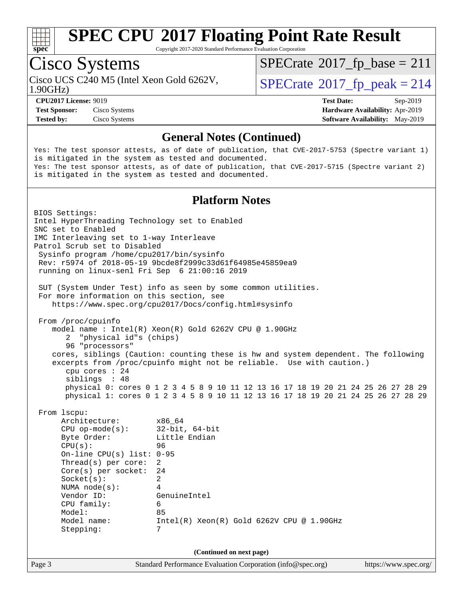

Copyright 2017-2020 Standard Performance Evaluation Corporation

## Cisco Systems

Cisco UCS C240 M5 (Intel Xeon Gold 6262V,  $\vert$ [SPECrate](http://www.spec.org/auto/cpu2017/Docs/result-fields.html#SPECrate2017fppeak)®[2017\\_fp\\_peak = 2](http://www.spec.org/auto/cpu2017/Docs/result-fields.html#SPECrate2017fppeak)14

 $SPECTate@2017_fp\_base = 211$ 

1.90GHz)

**[Test Sponsor:](http://www.spec.org/auto/cpu2017/Docs/result-fields.html#TestSponsor)** Cisco Systems **[Hardware Availability:](http://www.spec.org/auto/cpu2017/Docs/result-fields.html#HardwareAvailability)** Apr-2019 **[Tested by:](http://www.spec.org/auto/cpu2017/Docs/result-fields.html#Testedby)** Cisco Systems **[Software Availability:](http://www.spec.org/auto/cpu2017/Docs/result-fields.html#SoftwareAvailability)** May-2019

**[CPU2017 License:](http://www.spec.org/auto/cpu2017/Docs/result-fields.html#CPU2017License)** 9019 **[Test Date:](http://www.spec.org/auto/cpu2017/Docs/result-fields.html#TestDate)** Sep-2019

#### **[General Notes \(Continued\)](http://www.spec.org/auto/cpu2017/Docs/result-fields.html#GeneralNotes)**

Yes: The test sponsor attests, as of date of publication, that CVE-2017-5753 (Spectre variant 1) is mitigated in the system as tested and documented. Yes: The test sponsor attests, as of date of publication, that CVE-2017-5715 (Spectre variant 2) is mitigated in the system as tested and documented.

#### **[Platform Notes](http://www.spec.org/auto/cpu2017/Docs/result-fields.html#PlatformNotes)**

Page 3 Standard Performance Evaluation Corporation [\(info@spec.org\)](mailto:info@spec.org) <https://www.spec.org/> BIOS Settings: Intel HyperThreading Technology set to Enabled SNC set to Enabled IMC Interleaving set to 1-way Interleave Patrol Scrub set to Disabled Sysinfo program /home/cpu2017/bin/sysinfo Rev: r5974 of 2018-05-19 9bcde8f2999c33d61f64985e45859ea9 running on linux-senl Fri Sep 6 21:00:16 2019 SUT (System Under Test) info as seen by some common utilities. For more information on this section, see <https://www.spec.org/cpu2017/Docs/config.html#sysinfo> From /proc/cpuinfo model name : Intel(R) Xeon(R) Gold 6262V CPU @ 1.90GHz 2 "physical id"s (chips) 96 "processors" cores, siblings (Caution: counting these is hw and system dependent. The following excerpts from /proc/cpuinfo might not be reliable. Use with caution.) cpu cores : 24 siblings : 48 physical 0: cores 0 1 2 3 4 5 8 9 10 11 12 13 16 17 18 19 20 21 24 25 26 27 28 29 physical 1: cores 0 1 2 3 4 5 8 9 10 11 12 13 16 17 18 19 20 21 24 25 26 27 28 29 From lscpu: Architecture: x86\_64 CPU op-mode(s): 32-bit, 64-bit Byte Order: Little Endian CPU(s): 96 On-line CPU(s) list: 0-95 Thread(s) per core: 2 Core(s) per socket: 24 Socket(s): 2 NUMA node(s): 4 Vendor ID: GenuineIntel CPU family: 6 Model: 85 Model name: Intel(R) Xeon(R) Gold 6262V CPU @ 1.90GHz Stepping: 7 **(Continued on next page)**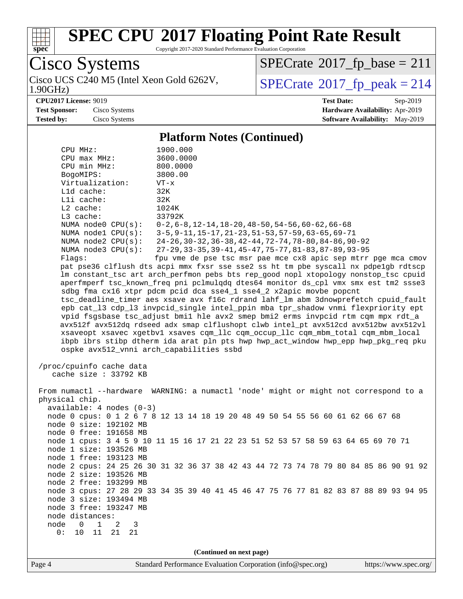

Copyright 2017-2020 Standard Performance Evaluation Corporation

Cisco Systems<br>Cisco UCS C240 M5 (Intel Xeon Gold 6262V, 1.90GHz)

 $SPECrate@2017_fp\_base = 211$  $SPECrate@2017_fp\_base = 211$ 

 $SPECTate$ <sup>®</sup>[2017\\_fp\\_peak = 2](http://www.spec.org/auto/cpu2017/Docs/result-fields.html#SPECrate2017fppeak)14

**[CPU2017 License:](http://www.spec.org/auto/cpu2017/Docs/result-fields.html#CPU2017License)** 9019 **[Test Date:](http://www.spec.org/auto/cpu2017/Docs/result-fields.html#TestDate)** Sep-2019 **[Test Sponsor:](http://www.spec.org/auto/cpu2017/Docs/result-fields.html#TestSponsor)** Cisco Systems **[Hardware Availability:](http://www.spec.org/auto/cpu2017/Docs/result-fields.html#HardwareAvailability)** Apr-2019 **[Tested by:](http://www.spec.org/auto/cpu2017/Docs/result-fields.html#Testedby)** Cisco Systems **[Software Availability:](http://www.spec.org/auto/cpu2017/Docs/result-fields.html#SoftwareAvailability)** May-2019

#### **[Platform Notes \(Continued\)](http://www.spec.org/auto/cpu2017/Docs/result-fields.html#PlatformNotes)**

| CPU MHz:                                          | 1900.000                                                                             |  |  |  |  |  |  |
|---------------------------------------------------|--------------------------------------------------------------------------------------|--|--|--|--|--|--|
| $CPU$ $max$ $MHz$ :                               | 3600.0000                                                                            |  |  |  |  |  |  |
| CPU min MHz:                                      | 800.0000                                                                             |  |  |  |  |  |  |
| BogoMIPS:                                         | 3800.00                                                                              |  |  |  |  |  |  |
| Virtualization:                                   | $VT - x$                                                                             |  |  |  |  |  |  |
| Lld cache:                                        | 32K                                                                                  |  |  |  |  |  |  |
| Lli cache:                                        | 32K                                                                                  |  |  |  |  |  |  |
| $L2$ cache:                                       | 1024K                                                                                |  |  |  |  |  |  |
| L3 cache:                                         | 33792K                                                                               |  |  |  |  |  |  |
| NUMA node0 CPU(s):                                | $0-2, 6-8, 12-14, 18-20, 48-50, 54-56, 60-62, 66-68$                                 |  |  |  |  |  |  |
| NUMA nodel CPU(s):                                | 3-5, 9-11, 15-17, 21-23, 51-53, 57-59, 63-65, 69-71                                  |  |  |  |  |  |  |
| NUMA node2 CPU(s):                                | 24-26, 30-32, 36-38, 42-44, 72-74, 78-80, 84-86, 90-92                               |  |  |  |  |  |  |
| NUMA $node3$ CPU $(s)$ :                          | 27-29, 33-35, 39-41, 45-47, 75-77, 81-83, 87-89, 93-95                               |  |  |  |  |  |  |
| Flags:                                            | fpu vme de pse tsc msr pae mce cx8 apic sep mtrr pge mca cmov                        |  |  |  |  |  |  |
|                                                   | pat pse36 clflush dts acpi mmx fxsr sse sse2 ss ht tm pbe syscall nx pdpelgb rdtscp  |  |  |  |  |  |  |
|                                                   | lm constant_tsc art arch_perfmon pebs bts rep_good nopl xtopology nonstop_tsc cpuid  |  |  |  |  |  |  |
|                                                   | aperfmperf tsc_known_freq pni pclmulqdq dtes64 monitor ds_cpl vmx smx est tm2 ssse3  |  |  |  |  |  |  |
|                                                   | sdbg fma cx16 xtpr pdcm pcid dca sse4_1 sse4_2 x2apic movbe popcnt                   |  |  |  |  |  |  |
|                                                   | tsc_deadline_timer aes xsave avx f16c rdrand lahf_lm abm 3dnowprefetch cpuid_fault   |  |  |  |  |  |  |
|                                                   | epb cat_13 cdp_13 invpcid_single intel_ppin mba tpr_shadow vnmi flexpriority ept     |  |  |  |  |  |  |
|                                                   | vpid fsgsbase tsc_adjust bmil hle avx2 smep bmi2 erms invpcid rtm cqm mpx rdt_a      |  |  |  |  |  |  |
|                                                   | avx512f avx512dq rdseed adx smap clflushopt clwb intel_pt avx512cd avx512bw avx512vl |  |  |  |  |  |  |
|                                                   | xsaveopt xsavec xgetbvl xsaves cqm_llc cqm_occup_llc cqm_mbm_total cqm_mbm_local     |  |  |  |  |  |  |
|                                                   | ibpb ibrs stibp dtherm ida arat pln pts hwp hwp_act_window hwp_epp hwp_pkg_req pku   |  |  |  |  |  |  |
|                                                   | ospke avx512_vnni arch_capabilities ssbd                                             |  |  |  |  |  |  |
| /proc/cpuinfo cache data<br>cache size : 33792 KB |                                                                                      |  |  |  |  |  |  |
|                                                   | From numactl --hardware WARNING: a numactl 'node' might or might not correspond to a |  |  |  |  |  |  |
| physical chip.                                    |                                                                                      |  |  |  |  |  |  |
| $available: 4 nodes (0-3)$                        |                                                                                      |  |  |  |  |  |  |
| node 0 size: 192102 MB                            | node 0 cpus: 0 1 2 6 7 8 12 13 14 18 19 20 48 49 50 54 55 56 60 61 62 66 67 68       |  |  |  |  |  |  |
| node 0 free: 191658 MB                            |                                                                                      |  |  |  |  |  |  |
|                                                   | node 1 cpus: 3 4 5 9 10 11 15 16 17 21 22 23 51 52 53 57 58 59 63 64 65 69 70 71     |  |  |  |  |  |  |
| node 1 size: 193526 MB                            |                                                                                      |  |  |  |  |  |  |
| node 1 free: 193123 MB                            |                                                                                      |  |  |  |  |  |  |
|                                                   | node 2 cpus: 24 25 26 30 31 32 36 37 38 42 43 44 72 73 74 78 79 80 84 85 86 90 91 92 |  |  |  |  |  |  |
| node 2 size: 193526 MB                            |                                                                                      |  |  |  |  |  |  |
| node 2 free: 193299 MB                            |                                                                                      |  |  |  |  |  |  |
|                                                   | node 3 cpus: 27 28 29 33 34 35 39 40 41 45 46 47 75 76 77 81 82 83 87 88 89 93 94 95 |  |  |  |  |  |  |
| node 3 size: 193494 MB                            |                                                                                      |  |  |  |  |  |  |
| node 3 free: 193247 MB                            |                                                                                      |  |  |  |  |  |  |
| node distances:                                   |                                                                                      |  |  |  |  |  |  |
| 1<br>node<br>$\mathbf 0$<br>2<br>3                |                                                                                      |  |  |  |  |  |  |
| 11<br>0:<br>10<br>21<br>21                        |                                                                                      |  |  |  |  |  |  |
|                                                   |                                                                                      |  |  |  |  |  |  |
|                                                   | (Continued on next page)                                                             |  |  |  |  |  |  |
|                                                   |                                                                                      |  |  |  |  |  |  |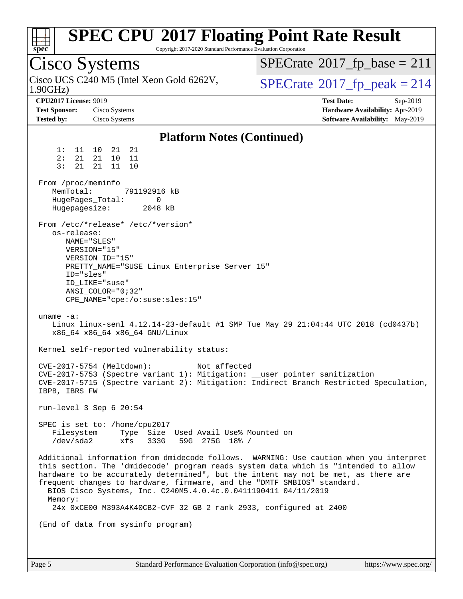| <b>SPEC CPU®2017 Floating Point Rate Result</b><br>Copyright 2017-2020 Standard Performance Evaluation Corporation<br>$spec^*$                                                                                                                                                                                                                                                                                                                                                                                                                                                                                                                                                                                                                                                                                                                                                                                                                                                                                                                                                                                                                                                                                                  |                                                                                                     |
|---------------------------------------------------------------------------------------------------------------------------------------------------------------------------------------------------------------------------------------------------------------------------------------------------------------------------------------------------------------------------------------------------------------------------------------------------------------------------------------------------------------------------------------------------------------------------------------------------------------------------------------------------------------------------------------------------------------------------------------------------------------------------------------------------------------------------------------------------------------------------------------------------------------------------------------------------------------------------------------------------------------------------------------------------------------------------------------------------------------------------------------------------------------------------------------------------------------------------------|-----------------------------------------------------------------------------------------------------|
| Cisco Systems                                                                                                                                                                                                                                                                                                                                                                                                                                                                                                                                                                                                                                                                                                                                                                                                                                                                                                                                                                                                                                                                                                                                                                                                                   | $SPECrate^{\circ}2017$ fp base = 211                                                                |
| Cisco UCS C240 M5 (Intel Xeon Gold 6262V,<br>1.90GHz                                                                                                                                                                                                                                                                                                                                                                                                                                                                                                                                                                                                                                                                                                                                                                                                                                                                                                                                                                                                                                                                                                                                                                            | $SPECTate@2017_fp\_peak = 214$                                                                      |
| <b>CPU2017 License: 9019</b><br><b>Test Sponsor:</b><br>Cisco Systems<br><b>Tested by:</b><br>Cisco Systems                                                                                                                                                                                                                                                                                                                                                                                                                                                                                                                                                                                                                                                                                                                                                                                                                                                                                                                                                                                                                                                                                                                     | <b>Test Date:</b><br>Sep-2019<br>Hardware Availability: Apr-2019<br>Software Availability: May-2019 |
| <b>Platform Notes (Continued)</b>                                                                                                                                                                                                                                                                                                                                                                                                                                                                                                                                                                                                                                                                                                                                                                                                                                                                                                                                                                                                                                                                                                                                                                                               |                                                                                                     |
| 1:<br>21 21<br>11 10<br>2:<br>21<br>21<br>10<br>- 11<br>3:<br>21<br>21<br>11<br>10<br>From /proc/meminfo<br>MemTotal:<br>791192916 kB<br>HugePages_Total:<br>0<br>Hugepagesize:<br>2048 kB<br>From /etc/*release* /etc/*version*<br>os-release:<br>NAME="SLES"<br>VERSION="15"<br>VERSION ID="15"<br>PRETTY_NAME="SUSE Linux Enterprise Server 15"<br>ID="sles"<br>ID_LIKE="suse"<br>$ANSI\_COLOR = "0:32"$<br>CPE_NAME="cpe:/o:suse:sles:15"<br>uname $-a$ :<br>Linux linux-senl 4.12.14-23-default #1 SMP Tue May 29 21:04:44 UTC 2018 (cd0437b)<br>x86_64 x86_64 x86_64 GNU/Linux<br>Kernel self-reported vulnerability status:<br>CVE-2017-5754 (Meltdown):<br>Not affected<br>CVE-2017-5753 (Spectre variant 1): Mitigation: __user pointer sanitization<br>CVE-2017-5715 (Spectre variant 2): Mitigation: Indirect Branch Restricted Speculation,<br>IBPB, IBRS FW<br>run-level $3$ Sep $6$ $20:54$<br>SPEC is set to: /home/cpu2017<br>Filesystem<br>Type Size Used Avail Use% Mounted on<br>/dev/sda2<br>xfs<br>333G<br>59G 275G 18% /<br>Additional information from dmidecode follows. WARNING: Use caution when you interpret<br>this section. The 'dmidecode' program reads system data which is "intended to allow |                                                                                                     |
| hardware to be accurately determined", but the intent may not be met, as there are<br>frequent changes to hardware, firmware, and the "DMTF SMBIOS" standard.<br>BIOS Cisco Systems, Inc. C240M5.4.0.4c.0.0411190411 04/11/2019<br>Memory:<br>24x 0xCE00 M393A4K40CB2-CVF 32 GB 2 rank 2933, configured at 2400                                                                                                                                                                                                                                                                                                                                                                                                                                                                                                                                                                                                                                                                                                                                                                                                                                                                                                                 |                                                                                                     |
| (End of data from sysinfo program)                                                                                                                                                                                                                                                                                                                                                                                                                                                                                                                                                                                                                                                                                                                                                                                                                                                                                                                                                                                                                                                                                                                                                                                              |                                                                                                     |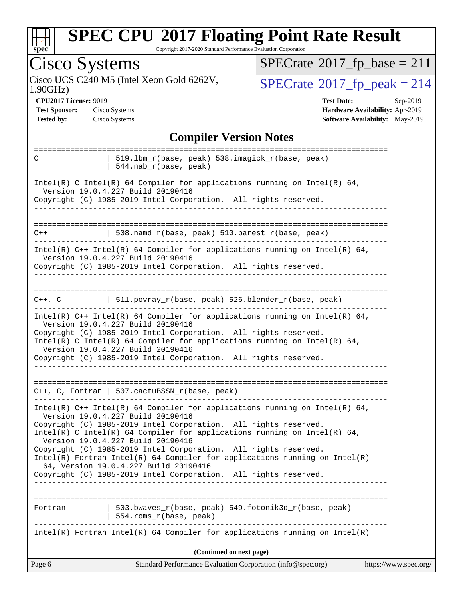

Copyright 2017-2020 Standard Performance Evaluation Corporation

#### Cisco Systems 1.90GHz) Cisco UCS C240 M5 (Intel Xeon Gold 6262V,  $\vert$ [SPECrate](http://www.spec.org/auto/cpu2017/Docs/result-fields.html#SPECrate2017fppeak)®[2017\\_fp\\_peak = 2](http://www.spec.org/auto/cpu2017/Docs/result-fields.html#SPECrate2017fppeak)14  $SPECTate@2017_fp\_base = 211$ **[CPU2017 License:](http://www.spec.org/auto/cpu2017/Docs/result-fields.html#CPU2017License)** 9019 **[Test Date:](http://www.spec.org/auto/cpu2017/Docs/result-fields.html#TestDate)** Sep-2019 **[Test Sponsor:](http://www.spec.org/auto/cpu2017/Docs/result-fields.html#TestSponsor)** Cisco Systems **[Hardware Availability:](http://www.spec.org/auto/cpu2017/Docs/result-fields.html#HardwareAvailability)** Apr-2019 **[Tested by:](http://www.spec.org/auto/cpu2017/Docs/result-fields.html#Testedby)** Cisco Systems **[Software Availability:](http://www.spec.org/auto/cpu2017/Docs/result-fields.html#SoftwareAvailability)** May-2019 **[Compiler Version Notes](http://www.spec.org/auto/cpu2017/Docs/result-fields.html#CompilerVersionNotes)** ============================================================================== C | 519.lbm\_r(base, peak) 538.imagick\_r(base, peak) | 544.nab\_r(base, peak) ------------------------------------------------------------------------------ Intel(R) C Intel(R) 64 Compiler for applications running on Intel(R) 64, Version 19.0.4.227 Build 20190416 Copyright (C) 1985-2019 Intel Corporation. All rights reserved. ------------------------------------------------------------------------------ ==============================================================================  $C++$  | 508.namd\_r(base, peak) 510.parest\_r(base, peak) ------------------------------------------------------------------------------ Intel(R) C++ Intel(R) 64 Compiler for applications running on Intel(R)  $64$ , Version 19.0.4.227 Build 20190416 Copyright (C) 1985-2019 Intel Corporation. All rights reserved. ------------------------------------------------------------------------------ ============================================================================== C++, C  $| 511.povray_r(base, peak) 526.blender_r(base, peak)$ ------------------------------------------------------------------------------ Intel(R) C++ Intel(R) 64 Compiler for applications running on Intel(R) 64, Version 19.0.4.227 Build 20190416 Copyright (C) 1985-2019 Intel Corporation. All rights reserved. Intel(R) C Intel(R) 64 Compiler for applications running on Intel(R)  $64$ , Version 19.0.4.227 Build 20190416 Copyright (C) 1985-2019 Intel Corporation. All rights reserved. ------------------------------------------------------------------------------ ============================================================================== C++, C, Fortran | 507.cactuBSSN\_r(base, peak) ------------------------------------------------------------------------------

Intel(R) C++ Intel(R) 64 Compiler for applications running on Intel(R)  $64$ , Version 19.0.4.227 Build 20190416 Copyright (C) 1985-2019 Intel Corporation. All rights reserved.

Intel(R) C Intel(R) 64 Compiler for applications running on Intel(R)  $64$ , Version 19.0.4.227 Build 20190416

Copyright (C) 1985-2019 Intel Corporation. All rights reserved. Intel(R) Fortran Intel(R) 64 Compiler for applications running on Intel(R) 64, Version 19.0.4.227 Build 20190416

Copyright (C) 1985-2019 Intel Corporation. All rights reserved. ------------------------------------------------------------------------------

| Fortran |  | 554.roms_r(base, peak) | 503.bwaves $r(base, peak)$ 549.fotonik3d $r(base, peak)$                   |  |  |
|---------|--|------------------------|----------------------------------------------------------------------------|--|--|
|         |  |                        | Intel(R) Fortran Intel(R) 64 Compiler for applications running on Intel(R) |  |  |

**(Continued on next page)**

| Standard Performance Evaluation Corporation (info@spec.org)<br>Page 6<br>https://www.spec.org/ |  |
|------------------------------------------------------------------------------------------------|--|
|------------------------------------------------------------------------------------------------|--|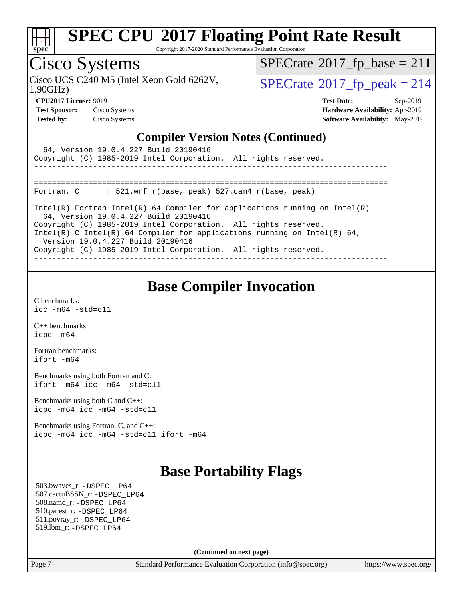

Copyright 2017-2020 Standard Performance Evaluation Corporation

## Cisco Systems

 $SPECTate@2017_fp\_base = 211$ 

Cisco UCS C240 M5 (Intel Xeon Gold 6262V,  $\vert$ [SPECrate](http://www.spec.org/auto/cpu2017/Docs/result-fields.html#SPECrate2017fppeak)®[2017\\_fp\\_peak = 2](http://www.spec.org/auto/cpu2017/Docs/result-fields.html#SPECrate2017fppeak)14

1.90GHz)

**[CPU2017 License:](http://www.spec.org/auto/cpu2017/Docs/result-fields.html#CPU2017License)** 9019 **[Test Date:](http://www.spec.org/auto/cpu2017/Docs/result-fields.html#TestDate)** Sep-2019 **[Test Sponsor:](http://www.spec.org/auto/cpu2017/Docs/result-fields.html#TestSponsor)** Cisco Systems **[Hardware Availability:](http://www.spec.org/auto/cpu2017/Docs/result-fields.html#HardwareAvailability)** Apr-2019 **[Tested by:](http://www.spec.org/auto/cpu2017/Docs/result-fields.html#Testedby)** Cisco Systems **[Software Availability:](http://www.spec.org/auto/cpu2017/Docs/result-fields.html#SoftwareAvailability)** May-2019

#### **[Compiler Version Notes \(Continued\)](http://www.spec.org/auto/cpu2017/Docs/result-fields.html#CompilerVersionNotes)**

| 64, Version 19.0.4.227 Build 20190416<br>Copyright (C) 1985-2019 Intel Corporation. All rights reserved.                                                                                                                                                                                                                                                                   |
|----------------------------------------------------------------------------------------------------------------------------------------------------------------------------------------------------------------------------------------------------------------------------------------------------------------------------------------------------------------------------|
| $\vert$ 521.wrf r(base, peak) 527.cam4 r(base, peak)<br>Fortran, C                                                                                                                                                                                                                                                                                                         |
| Intel(R) Fortran Intel(R) 64 Compiler for applications running on Intel(R)<br>64, Version 19.0.4.227 Build 20190416<br>Copyright (C) 1985-2019 Intel Corporation. All rights reserved.<br>Intel(R) C Intel(R) 64 Compiler for applications running on Intel(R) 64,<br>Version 19.0.4.227 Build 20190416<br>Copyright (C) 1985-2019 Intel Corporation. All rights reserved. |

### **[Base Compiler Invocation](http://www.spec.org/auto/cpu2017/Docs/result-fields.html#BaseCompilerInvocation)**

[C benchmarks](http://www.spec.org/auto/cpu2017/Docs/result-fields.html#Cbenchmarks): [icc -m64 -std=c11](http://www.spec.org/cpu2017/results/res2019q4/cpu2017-20190913-17831.flags.html#user_CCbase_intel_icc_64bit_c11_33ee0cdaae7deeeab2a9725423ba97205ce30f63b9926c2519791662299b76a0318f32ddfffdc46587804de3178b4f9328c46fa7c2b0cd779d7a61945c91cd35)

[C++ benchmarks:](http://www.spec.org/auto/cpu2017/Docs/result-fields.html#CXXbenchmarks) [icpc -m64](http://www.spec.org/cpu2017/results/res2019q4/cpu2017-20190913-17831.flags.html#user_CXXbase_intel_icpc_64bit_4ecb2543ae3f1412ef961e0650ca070fec7b7afdcd6ed48761b84423119d1bf6bdf5cad15b44d48e7256388bc77273b966e5eb805aefd121eb22e9299b2ec9d9)

[Fortran benchmarks](http://www.spec.org/auto/cpu2017/Docs/result-fields.html#Fortranbenchmarks): [ifort -m64](http://www.spec.org/cpu2017/results/res2019q4/cpu2017-20190913-17831.flags.html#user_FCbase_intel_ifort_64bit_24f2bb282fbaeffd6157abe4f878425411749daecae9a33200eee2bee2fe76f3b89351d69a8130dd5949958ce389cf37ff59a95e7a40d588e8d3a57e0c3fd751)

[Benchmarks using both Fortran and C](http://www.spec.org/auto/cpu2017/Docs/result-fields.html#BenchmarksusingbothFortranandC): [ifort -m64](http://www.spec.org/cpu2017/results/res2019q4/cpu2017-20190913-17831.flags.html#user_CC_FCbase_intel_ifort_64bit_24f2bb282fbaeffd6157abe4f878425411749daecae9a33200eee2bee2fe76f3b89351d69a8130dd5949958ce389cf37ff59a95e7a40d588e8d3a57e0c3fd751) [icc -m64 -std=c11](http://www.spec.org/cpu2017/results/res2019q4/cpu2017-20190913-17831.flags.html#user_CC_FCbase_intel_icc_64bit_c11_33ee0cdaae7deeeab2a9725423ba97205ce30f63b9926c2519791662299b76a0318f32ddfffdc46587804de3178b4f9328c46fa7c2b0cd779d7a61945c91cd35)

[Benchmarks using both C and C++](http://www.spec.org/auto/cpu2017/Docs/result-fields.html#BenchmarksusingbothCandCXX): [icpc -m64](http://www.spec.org/cpu2017/results/res2019q4/cpu2017-20190913-17831.flags.html#user_CC_CXXbase_intel_icpc_64bit_4ecb2543ae3f1412ef961e0650ca070fec7b7afdcd6ed48761b84423119d1bf6bdf5cad15b44d48e7256388bc77273b966e5eb805aefd121eb22e9299b2ec9d9) [icc -m64 -std=c11](http://www.spec.org/cpu2017/results/res2019q4/cpu2017-20190913-17831.flags.html#user_CC_CXXbase_intel_icc_64bit_c11_33ee0cdaae7deeeab2a9725423ba97205ce30f63b9926c2519791662299b76a0318f32ddfffdc46587804de3178b4f9328c46fa7c2b0cd779d7a61945c91cd35)

[Benchmarks using Fortran, C, and C++:](http://www.spec.org/auto/cpu2017/Docs/result-fields.html#BenchmarksusingFortranCandCXX) [icpc -m64](http://www.spec.org/cpu2017/results/res2019q4/cpu2017-20190913-17831.flags.html#user_CC_CXX_FCbase_intel_icpc_64bit_4ecb2543ae3f1412ef961e0650ca070fec7b7afdcd6ed48761b84423119d1bf6bdf5cad15b44d48e7256388bc77273b966e5eb805aefd121eb22e9299b2ec9d9) [icc -m64 -std=c11](http://www.spec.org/cpu2017/results/res2019q4/cpu2017-20190913-17831.flags.html#user_CC_CXX_FCbase_intel_icc_64bit_c11_33ee0cdaae7deeeab2a9725423ba97205ce30f63b9926c2519791662299b76a0318f32ddfffdc46587804de3178b4f9328c46fa7c2b0cd779d7a61945c91cd35) [ifort -m64](http://www.spec.org/cpu2017/results/res2019q4/cpu2017-20190913-17831.flags.html#user_CC_CXX_FCbase_intel_ifort_64bit_24f2bb282fbaeffd6157abe4f878425411749daecae9a33200eee2bee2fe76f3b89351d69a8130dd5949958ce389cf37ff59a95e7a40d588e8d3a57e0c3fd751)

### **[Base Portability Flags](http://www.spec.org/auto/cpu2017/Docs/result-fields.html#BasePortabilityFlags)**

 503.bwaves\_r: [-DSPEC\\_LP64](http://www.spec.org/cpu2017/results/res2019q4/cpu2017-20190913-17831.flags.html#suite_basePORTABILITY503_bwaves_r_DSPEC_LP64) 507.cactuBSSN\_r: [-DSPEC\\_LP64](http://www.spec.org/cpu2017/results/res2019q4/cpu2017-20190913-17831.flags.html#suite_basePORTABILITY507_cactuBSSN_r_DSPEC_LP64) 508.namd\_r: [-DSPEC\\_LP64](http://www.spec.org/cpu2017/results/res2019q4/cpu2017-20190913-17831.flags.html#suite_basePORTABILITY508_namd_r_DSPEC_LP64) 510.parest\_r: [-DSPEC\\_LP64](http://www.spec.org/cpu2017/results/res2019q4/cpu2017-20190913-17831.flags.html#suite_basePORTABILITY510_parest_r_DSPEC_LP64) 511.povray\_r: [-DSPEC\\_LP64](http://www.spec.org/cpu2017/results/res2019q4/cpu2017-20190913-17831.flags.html#suite_basePORTABILITY511_povray_r_DSPEC_LP64) 519.lbm\_r: [-DSPEC\\_LP64](http://www.spec.org/cpu2017/results/res2019q4/cpu2017-20190913-17831.flags.html#suite_basePORTABILITY519_lbm_r_DSPEC_LP64)

**(Continued on next page)**

Page 7 Standard Performance Evaluation Corporation [\(info@spec.org\)](mailto:info@spec.org) <https://www.spec.org/>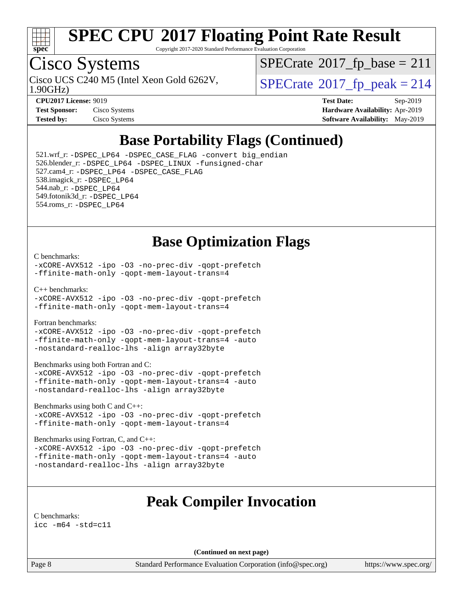

Copyright 2017-2020 Standard Performance Evaluation Corporation

## Cisco Systems

1.90GHz)

 $SPECTate@2017_fp\_base = 211$ 

Cisco UCS C240 M5 (Intel Xeon Gold 6262V,  $\vert$ [SPECrate](http://www.spec.org/auto/cpu2017/Docs/result-fields.html#SPECrate2017fppeak)®[2017\\_fp\\_peak = 2](http://www.spec.org/auto/cpu2017/Docs/result-fields.html#SPECrate2017fppeak)14

| <b>Test Sponsor:</b> | Cisco Systems |
|----------------------|---------------|
| <b>Tested by:</b>    | Cisco Systems |

**[CPU2017 License:](http://www.spec.org/auto/cpu2017/Docs/result-fields.html#CPU2017License)** 9019 **[Test Date:](http://www.spec.org/auto/cpu2017/Docs/result-fields.html#TestDate)** Sep-2019 **[Hardware Availability:](http://www.spec.org/auto/cpu2017/Docs/result-fields.html#HardwareAvailability)** Apr-2019 **[Software Availability:](http://www.spec.org/auto/cpu2017/Docs/result-fields.html#SoftwareAvailability)** May-2019

### **[Base Portability Flags \(Continued\)](http://www.spec.org/auto/cpu2017/Docs/result-fields.html#BasePortabilityFlags)**

 521.wrf\_r: [-DSPEC\\_LP64](http://www.spec.org/cpu2017/results/res2019q4/cpu2017-20190913-17831.flags.html#suite_basePORTABILITY521_wrf_r_DSPEC_LP64) [-DSPEC\\_CASE\\_FLAG](http://www.spec.org/cpu2017/results/res2019q4/cpu2017-20190913-17831.flags.html#b521.wrf_r_baseCPORTABILITY_DSPEC_CASE_FLAG) [-convert big\\_endian](http://www.spec.org/cpu2017/results/res2019q4/cpu2017-20190913-17831.flags.html#user_baseFPORTABILITY521_wrf_r_convert_big_endian_c3194028bc08c63ac5d04de18c48ce6d347e4e562e8892b8bdbdc0214820426deb8554edfa529a3fb25a586e65a3d812c835984020483e7e73212c4d31a38223) 526.blender\_r: [-DSPEC\\_LP64](http://www.spec.org/cpu2017/results/res2019q4/cpu2017-20190913-17831.flags.html#suite_basePORTABILITY526_blender_r_DSPEC_LP64) [-DSPEC\\_LINUX](http://www.spec.org/cpu2017/results/res2019q4/cpu2017-20190913-17831.flags.html#b526.blender_r_baseCPORTABILITY_DSPEC_LINUX) [-funsigned-char](http://www.spec.org/cpu2017/results/res2019q4/cpu2017-20190913-17831.flags.html#user_baseCPORTABILITY526_blender_r_force_uchar_40c60f00ab013830e2dd6774aeded3ff59883ba5a1fc5fc14077f794d777847726e2a5858cbc7672e36e1b067e7e5c1d9a74f7176df07886a243d7cc18edfe67) 527.cam4\_r: [-DSPEC\\_LP64](http://www.spec.org/cpu2017/results/res2019q4/cpu2017-20190913-17831.flags.html#suite_basePORTABILITY527_cam4_r_DSPEC_LP64) [-DSPEC\\_CASE\\_FLAG](http://www.spec.org/cpu2017/results/res2019q4/cpu2017-20190913-17831.flags.html#b527.cam4_r_baseCPORTABILITY_DSPEC_CASE_FLAG) 538.imagick\_r: [-DSPEC\\_LP64](http://www.spec.org/cpu2017/results/res2019q4/cpu2017-20190913-17831.flags.html#suite_basePORTABILITY538_imagick_r_DSPEC_LP64) 544.nab\_r: [-DSPEC\\_LP64](http://www.spec.org/cpu2017/results/res2019q4/cpu2017-20190913-17831.flags.html#suite_basePORTABILITY544_nab_r_DSPEC_LP64) 549.fotonik3d\_r: [-DSPEC\\_LP64](http://www.spec.org/cpu2017/results/res2019q4/cpu2017-20190913-17831.flags.html#suite_basePORTABILITY549_fotonik3d_r_DSPEC_LP64) 554.roms\_r: [-DSPEC\\_LP64](http://www.spec.org/cpu2017/results/res2019q4/cpu2017-20190913-17831.flags.html#suite_basePORTABILITY554_roms_r_DSPEC_LP64)

### **[Base Optimization Flags](http://www.spec.org/auto/cpu2017/Docs/result-fields.html#BaseOptimizationFlags)**

#### [C benchmarks](http://www.spec.org/auto/cpu2017/Docs/result-fields.html#Cbenchmarks):

[-xCORE-AVX512](http://www.spec.org/cpu2017/results/res2019q4/cpu2017-20190913-17831.flags.html#user_CCbase_f-xCORE-AVX512) [-ipo](http://www.spec.org/cpu2017/results/res2019q4/cpu2017-20190913-17831.flags.html#user_CCbase_f-ipo) [-O3](http://www.spec.org/cpu2017/results/res2019q4/cpu2017-20190913-17831.flags.html#user_CCbase_f-O3) [-no-prec-div](http://www.spec.org/cpu2017/results/res2019q4/cpu2017-20190913-17831.flags.html#user_CCbase_f-no-prec-div) [-qopt-prefetch](http://www.spec.org/cpu2017/results/res2019q4/cpu2017-20190913-17831.flags.html#user_CCbase_f-qopt-prefetch) [-ffinite-math-only](http://www.spec.org/cpu2017/results/res2019q4/cpu2017-20190913-17831.flags.html#user_CCbase_f_finite_math_only_cb91587bd2077682c4b38af759c288ed7c732db004271a9512da14a4f8007909a5f1427ecbf1a0fb78ff2a814402c6114ac565ca162485bbcae155b5e4258871) [-qopt-mem-layout-trans=4](http://www.spec.org/cpu2017/results/res2019q4/cpu2017-20190913-17831.flags.html#user_CCbase_f-qopt-mem-layout-trans_fa39e755916c150a61361b7846f310bcdf6f04e385ef281cadf3647acec3f0ae266d1a1d22d972a7087a248fd4e6ca390a3634700869573d231a252c784941a8)

[C++ benchmarks:](http://www.spec.org/auto/cpu2017/Docs/result-fields.html#CXXbenchmarks)

[-xCORE-AVX512](http://www.spec.org/cpu2017/results/res2019q4/cpu2017-20190913-17831.flags.html#user_CXXbase_f-xCORE-AVX512) [-ipo](http://www.spec.org/cpu2017/results/res2019q4/cpu2017-20190913-17831.flags.html#user_CXXbase_f-ipo) [-O3](http://www.spec.org/cpu2017/results/res2019q4/cpu2017-20190913-17831.flags.html#user_CXXbase_f-O3) [-no-prec-div](http://www.spec.org/cpu2017/results/res2019q4/cpu2017-20190913-17831.flags.html#user_CXXbase_f-no-prec-div) [-qopt-prefetch](http://www.spec.org/cpu2017/results/res2019q4/cpu2017-20190913-17831.flags.html#user_CXXbase_f-qopt-prefetch) [-ffinite-math-only](http://www.spec.org/cpu2017/results/res2019q4/cpu2017-20190913-17831.flags.html#user_CXXbase_f_finite_math_only_cb91587bd2077682c4b38af759c288ed7c732db004271a9512da14a4f8007909a5f1427ecbf1a0fb78ff2a814402c6114ac565ca162485bbcae155b5e4258871) [-qopt-mem-layout-trans=4](http://www.spec.org/cpu2017/results/res2019q4/cpu2017-20190913-17831.flags.html#user_CXXbase_f-qopt-mem-layout-trans_fa39e755916c150a61361b7846f310bcdf6f04e385ef281cadf3647acec3f0ae266d1a1d22d972a7087a248fd4e6ca390a3634700869573d231a252c784941a8)

[Fortran benchmarks](http://www.spec.org/auto/cpu2017/Docs/result-fields.html#Fortranbenchmarks):

[-xCORE-AVX512](http://www.spec.org/cpu2017/results/res2019q4/cpu2017-20190913-17831.flags.html#user_FCbase_f-xCORE-AVX512) [-ipo](http://www.spec.org/cpu2017/results/res2019q4/cpu2017-20190913-17831.flags.html#user_FCbase_f-ipo) [-O3](http://www.spec.org/cpu2017/results/res2019q4/cpu2017-20190913-17831.flags.html#user_FCbase_f-O3) [-no-prec-div](http://www.spec.org/cpu2017/results/res2019q4/cpu2017-20190913-17831.flags.html#user_FCbase_f-no-prec-div) [-qopt-prefetch](http://www.spec.org/cpu2017/results/res2019q4/cpu2017-20190913-17831.flags.html#user_FCbase_f-qopt-prefetch) [-ffinite-math-only](http://www.spec.org/cpu2017/results/res2019q4/cpu2017-20190913-17831.flags.html#user_FCbase_f_finite_math_only_cb91587bd2077682c4b38af759c288ed7c732db004271a9512da14a4f8007909a5f1427ecbf1a0fb78ff2a814402c6114ac565ca162485bbcae155b5e4258871) [-qopt-mem-layout-trans=4](http://www.spec.org/cpu2017/results/res2019q4/cpu2017-20190913-17831.flags.html#user_FCbase_f-qopt-mem-layout-trans_fa39e755916c150a61361b7846f310bcdf6f04e385ef281cadf3647acec3f0ae266d1a1d22d972a7087a248fd4e6ca390a3634700869573d231a252c784941a8) [-auto](http://www.spec.org/cpu2017/results/res2019q4/cpu2017-20190913-17831.flags.html#user_FCbase_f-auto) [-nostandard-realloc-lhs](http://www.spec.org/cpu2017/results/res2019q4/cpu2017-20190913-17831.flags.html#user_FCbase_f_2003_std_realloc_82b4557e90729c0f113870c07e44d33d6f5a304b4f63d4c15d2d0f1fab99f5daaed73bdb9275d9ae411527f28b936061aa8b9c8f2d63842963b95c9dd6426b8a) [-align array32byte](http://www.spec.org/cpu2017/results/res2019q4/cpu2017-20190913-17831.flags.html#user_FCbase_align_array32byte_b982fe038af199962ba9a80c053b8342c548c85b40b8e86eb3cc33dee0d7986a4af373ac2d51c3f7cf710a18d62fdce2948f201cd044323541f22fc0fffc51b6)

[Benchmarks using both Fortran and C](http://www.spec.org/auto/cpu2017/Docs/result-fields.html#BenchmarksusingbothFortranandC):

[-xCORE-AVX512](http://www.spec.org/cpu2017/results/res2019q4/cpu2017-20190913-17831.flags.html#user_CC_FCbase_f-xCORE-AVX512) [-ipo](http://www.spec.org/cpu2017/results/res2019q4/cpu2017-20190913-17831.flags.html#user_CC_FCbase_f-ipo) [-O3](http://www.spec.org/cpu2017/results/res2019q4/cpu2017-20190913-17831.flags.html#user_CC_FCbase_f-O3) [-no-prec-div](http://www.spec.org/cpu2017/results/res2019q4/cpu2017-20190913-17831.flags.html#user_CC_FCbase_f-no-prec-div) [-qopt-prefetch](http://www.spec.org/cpu2017/results/res2019q4/cpu2017-20190913-17831.flags.html#user_CC_FCbase_f-qopt-prefetch) [-ffinite-math-only](http://www.spec.org/cpu2017/results/res2019q4/cpu2017-20190913-17831.flags.html#user_CC_FCbase_f_finite_math_only_cb91587bd2077682c4b38af759c288ed7c732db004271a9512da14a4f8007909a5f1427ecbf1a0fb78ff2a814402c6114ac565ca162485bbcae155b5e4258871) [-qopt-mem-layout-trans=4](http://www.spec.org/cpu2017/results/res2019q4/cpu2017-20190913-17831.flags.html#user_CC_FCbase_f-qopt-mem-layout-trans_fa39e755916c150a61361b7846f310bcdf6f04e385ef281cadf3647acec3f0ae266d1a1d22d972a7087a248fd4e6ca390a3634700869573d231a252c784941a8) [-auto](http://www.spec.org/cpu2017/results/res2019q4/cpu2017-20190913-17831.flags.html#user_CC_FCbase_f-auto) [-nostandard-realloc-lhs](http://www.spec.org/cpu2017/results/res2019q4/cpu2017-20190913-17831.flags.html#user_CC_FCbase_f_2003_std_realloc_82b4557e90729c0f113870c07e44d33d6f5a304b4f63d4c15d2d0f1fab99f5daaed73bdb9275d9ae411527f28b936061aa8b9c8f2d63842963b95c9dd6426b8a) [-align array32byte](http://www.spec.org/cpu2017/results/res2019q4/cpu2017-20190913-17831.flags.html#user_CC_FCbase_align_array32byte_b982fe038af199962ba9a80c053b8342c548c85b40b8e86eb3cc33dee0d7986a4af373ac2d51c3f7cf710a18d62fdce2948f201cd044323541f22fc0fffc51b6)

[Benchmarks using both C and C++](http://www.spec.org/auto/cpu2017/Docs/result-fields.html#BenchmarksusingbothCandCXX):

[-xCORE-AVX512](http://www.spec.org/cpu2017/results/res2019q4/cpu2017-20190913-17831.flags.html#user_CC_CXXbase_f-xCORE-AVX512) [-ipo](http://www.spec.org/cpu2017/results/res2019q4/cpu2017-20190913-17831.flags.html#user_CC_CXXbase_f-ipo) [-O3](http://www.spec.org/cpu2017/results/res2019q4/cpu2017-20190913-17831.flags.html#user_CC_CXXbase_f-O3) [-no-prec-div](http://www.spec.org/cpu2017/results/res2019q4/cpu2017-20190913-17831.flags.html#user_CC_CXXbase_f-no-prec-div) [-qopt-prefetch](http://www.spec.org/cpu2017/results/res2019q4/cpu2017-20190913-17831.flags.html#user_CC_CXXbase_f-qopt-prefetch) [-ffinite-math-only](http://www.spec.org/cpu2017/results/res2019q4/cpu2017-20190913-17831.flags.html#user_CC_CXXbase_f_finite_math_only_cb91587bd2077682c4b38af759c288ed7c732db004271a9512da14a4f8007909a5f1427ecbf1a0fb78ff2a814402c6114ac565ca162485bbcae155b5e4258871) [-qopt-mem-layout-trans=4](http://www.spec.org/cpu2017/results/res2019q4/cpu2017-20190913-17831.flags.html#user_CC_CXXbase_f-qopt-mem-layout-trans_fa39e755916c150a61361b7846f310bcdf6f04e385ef281cadf3647acec3f0ae266d1a1d22d972a7087a248fd4e6ca390a3634700869573d231a252c784941a8)

[Benchmarks using Fortran, C, and C++:](http://www.spec.org/auto/cpu2017/Docs/result-fields.html#BenchmarksusingFortranCandCXX)

[-xCORE-AVX512](http://www.spec.org/cpu2017/results/res2019q4/cpu2017-20190913-17831.flags.html#user_CC_CXX_FCbase_f-xCORE-AVX512) [-ipo](http://www.spec.org/cpu2017/results/res2019q4/cpu2017-20190913-17831.flags.html#user_CC_CXX_FCbase_f-ipo) [-O3](http://www.spec.org/cpu2017/results/res2019q4/cpu2017-20190913-17831.flags.html#user_CC_CXX_FCbase_f-O3) [-no-prec-div](http://www.spec.org/cpu2017/results/res2019q4/cpu2017-20190913-17831.flags.html#user_CC_CXX_FCbase_f-no-prec-div) [-qopt-prefetch](http://www.spec.org/cpu2017/results/res2019q4/cpu2017-20190913-17831.flags.html#user_CC_CXX_FCbase_f-qopt-prefetch) [-ffinite-math-only](http://www.spec.org/cpu2017/results/res2019q4/cpu2017-20190913-17831.flags.html#user_CC_CXX_FCbase_f_finite_math_only_cb91587bd2077682c4b38af759c288ed7c732db004271a9512da14a4f8007909a5f1427ecbf1a0fb78ff2a814402c6114ac565ca162485bbcae155b5e4258871) [-qopt-mem-layout-trans=4](http://www.spec.org/cpu2017/results/res2019q4/cpu2017-20190913-17831.flags.html#user_CC_CXX_FCbase_f-qopt-mem-layout-trans_fa39e755916c150a61361b7846f310bcdf6f04e385ef281cadf3647acec3f0ae266d1a1d22d972a7087a248fd4e6ca390a3634700869573d231a252c784941a8) [-auto](http://www.spec.org/cpu2017/results/res2019q4/cpu2017-20190913-17831.flags.html#user_CC_CXX_FCbase_f-auto) [-nostandard-realloc-lhs](http://www.spec.org/cpu2017/results/res2019q4/cpu2017-20190913-17831.flags.html#user_CC_CXX_FCbase_f_2003_std_realloc_82b4557e90729c0f113870c07e44d33d6f5a304b4f63d4c15d2d0f1fab99f5daaed73bdb9275d9ae411527f28b936061aa8b9c8f2d63842963b95c9dd6426b8a) [-align array32byte](http://www.spec.org/cpu2017/results/res2019q4/cpu2017-20190913-17831.flags.html#user_CC_CXX_FCbase_align_array32byte_b982fe038af199962ba9a80c053b8342c548c85b40b8e86eb3cc33dee0d7986a4af373ac2d51c3f7cf710a18d62fdce2948f201cd044323541f22fc0fffc51b6)

### **[Peak Compiler Invocation](http://www.spec.org/auto/cpu2017/Docs/result-fields.html#PeakCompilerInvocation)**

[C benchmarks](http://www.spec.org/auto/cpu2017/Docs/result-fields.html#Cbenchmarks): [icc -m64 -std=c11](http://www.spec.org/cpu2017/results/res2019q4/cpu2017-20190913-17831.flags.html#user_CCpeak_intel_icc_64bit_c11_33ee0cdaae7deeeab2a9725423ba97205ce30f63b9926c2519791662299b76a0318f32ddfffdc46587804de3178b4f9328c46fa7c2b0cd779d7a61945c91cd35)

**(Continued on next page)**

Page 8 Standard Performance Evaluation Corporation [\(info@spec.org\)](mailto:info@spec.org) <https://www.spec.org/>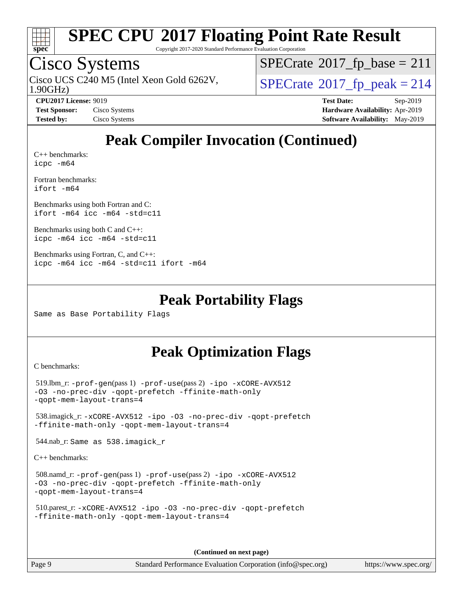

Copyright 2017-2020 Standard Performance Evaluation Corporation

### Cisco Systems

1.90GHz) Cisco UCS C240 M5 (Intel Xeon Gold 6262V,  $\vert$ [SPECrate](http://www.spec.org/auto/cpu2017/Docs/result-fields.html#SPECrate2017fppeak)®[2017\\_fp\\_peak = 2](http://www.spec.org/auto/cpu2017/Docs/result-fields.html#SPECrate2017fppeak)14

 $SPECTate@2017_fp\_base = 211$ 

**[CPU2017 License:](http://www.spec.org/auto/cpu2017/Docs/result-fields.html#CPU2017License)** 9019 **[Test Date:](http://www.spec.org/auto/cpu2017/Docs/result-fields.html#TestDate)** Sep-2019 **[Test Sponsor:](http://www.spec.org/auto/cpu2017/Docs/result-fields.html#TestSponsor)** Cisco Systems **[Hardware Availability:](http://www.spec.org/auto/cpu2017/Docs/result-fields.html#HardwareAvailability)** Apr-2019 **[Tested by:](http://www.spec.org/auto/cpu2017/Docs/result-fields.html#Testedby)** Cisco Systems **[Software Availability:](http://www.spec.org/auto/cpu2017/Docs/result-fields.html#SoftwareAvailability)** May-2019

## **[Peak Compiler Invocation \(Continued\)](http://www.spec.org/auto/cpu2017/Docs/result-fields.html#PeakCompilerInvocation)**

[C++ benchmarks:](http://www.spec.org/auto/cpu2017/Docs/result-fields.html#CXXbenchmarks) [icpc -m64](http://www.spec.org/cpu2017/results/res2019q4/cpu2017-20190913-17831.flags.html#user_CXXpeak_intel_icpc_64bit_4ecb2543ae3f1412ef961e0650ca070fec7b7afdcd6ed48761b84423119d1bf6bdf5cad15b44d48e7256388bc77273b966e5eb805aefd121eb22e9299b2ec9d9)

[Fortran benchmarks](http://www.spec.org/auto/cpu2017/Docs/result-fields.html#Fortranbenchmarks): [ifort -m64](http://www.spec.org/cpu2017/results/res2019q4/cpu2017-20190913-17831.flags.html#user_FCpeak_intel_ifort_64bit_24f2bb282fbaeffd6157abe4f878425411749daecae9a33200eee2bee2fe76f3b89351d69a8130dd5949958ce389cf37ff59a95e7a40d588e8d3a57e0c3fd751)

[Benchmarks using both Fortran and C](http://www.spec.org/auto/cpu2017/Docs/result-fields.html#BenchmarksusingbothFortranandC): [ifort -m64](http://www.spec.org/cpu2017/results/res2019q4/cpu2017-20190913-17831.flags.html#user_CC_FCpeak_intel_ifort_64bit_24f2bb282fbaeffd6157abe4f878425411749daecae9a33200eee2bee2fe76f3b89351d69a8130dd5949958ce389cf37ff59a95e7a40d588e8d3a57e0c3fd751) [icc -m64 -std=c11](http://www.spec.org/cpu2017/results/res2019q4/cpu2017-20190913-17831.flags.html#user_CC_FCpeak_intel_icc_64bit_c11_33ee0cdaae7deeeab2a9725423ba97205ce30f63b9926c2519791662299b76a0318f32ddfffdc46587804de3178b4f9328c46fa7c2b0cd779d7a61945c91cd35)

[Benchmarks using both C and C++](http://www.spec.org/auto/cpu2017/Docs/result-fields.html#BenchmarksusingbothCandCXX): [icpc -m64](http://www.spec.org/cpu2017/results/res2019q4/cpu2017-20190913-17831.flags.html#user_CC_CXXpeak_intel_icpc_64bit_4ecb2543ae3f1412ef961e0650ca070fec7b7afdcd6ed48761b84423119d1bf6bdf5cad15b44d48e7256388bc77273b966e5eb805aefd121eb22e9299b2ec9d9) [icc -m64 -std=c11](http://www.spec.org/cpu2017/results/res2019q4/cpu2017-20190913-17831.flags.html#user_CC_CXXpeak_intel_icc_64bit_c11_33ee0cdaae7deeeab2a9725423ba97205ce30f63b9926c2519791662299b76a0318f32ddfffdc46587804de3178b4f9328c46fa7c2b0cd779d7a61945c91cd35)

```
Benchmarks using Fortran, C, and C++: 
icpc -m64 icc -m64 -std=c11 ifort -m64
```
#### **[Peak Portability Flags](http://www.spec.org/auto/cpu2017/Docs/result-fields.html#PeakPortabilityFlags)**

Same as Base Portability Flags

### **[Peak Optimization Flags](http://www.spec.org/auto/cpu2017/Docs/result-fields.html#PeakOptimizationFlags)**

[C benchmarks](http://www.spec.org/auto/cpu2017/Docs/result-fields.html#Cbenchmarks):

```
 519.lbm_r: -prof-gen(pass 1) -prof-use(pass 2) -ipo -xCORE-AVX512
-O3 -no-prec-div -qopt-prefetch -ffinite-math-only
-qopt-mem-layout-trans=4
 538.imagick_r: -xCORE-AVX512 -ipo -O3 -no-prec-div -qopt-prefetch
-ffinite-math-only -qopt-mem-layout-trans=4
 544.nab_r: Same as 538.imagick_r
C++ benchmarks: 
 508.namd_r: -prof-gen(pass 1) -prof-use(pass 2) -ipo -xCORE-AVX512
-O3 -no-prec-div -qopt-prefetch -ffinite-math-only
```

```
-qopt-mem-layout-trans=4
```

```
 510.parest_r: -xCORE-AVX512 -ipo -O3 -no-prec-div -qopt-prefetch
-ffinite-math-only -qopt-mem-layout-trans=4
```
**(Continued on next page)**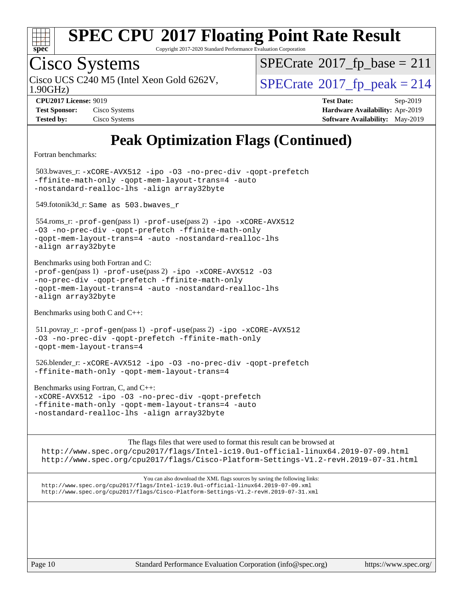

Copyright 2017-2020 Standard Performance Evaluation Corporation

# Cisco Systems

1.90GHz) Cisco UCS C240 M5 (Intel Xeon Gold 6262V,  $\vert$ [SPECrate](http://www.spec.org/auto/cpu2017/Docs/result-fields.html#SPECrate2017fppeak)®[2017\\_fp\\_peak = 2](http://www.spec.org/auto/cpu2017/Docs/result-fields.html#SPECrate2017fppeak)14

 $SPECTate@2017_fp\_base = 211$ 

| <b>Test Sponsor:</b> | Cisco Systems |
|----------------------|---------------|
| <b>Tested by:</b>    | Cisco Systems |

**[CPU2017 License:](http://www.spec.org/auto/cpu2017/Docs/result-fields.html#CPU2017License)** 9019 **[Test Date:](http://www.spec.org/auto/cpu2017/Docs/result-fields.html#TestDate)** Sep-2019 **[Hardware Availability:](http://www.spec.org/auto/cpu2017/Docs/result-fields.html#HardwareAvailability)** Apr-2019 **[Software Availability:](http://www.spec.org/auto/cpu2017/Docs/result-fields.html#SoftwareAvailability)** May-2019

## **[Peak Optimization Flags \(Continued\)](http://www.spec.org/auto/cpu2017/Docs/result-fields.html#PeakOptimizationFlags)**

[Fortran benchmarks](http://www.spec.org/auto/cpu2017/Docs/result-fields.html#Fortranbenchmarks):

 503.bwaves\_r: [-xCORE-AVX512](http://www.spec.org/cpu2017/results/res2019q4/cpu2017-20190913-17831.flags.html#user_peakFOPTIMIZE503_bwaves_r_f-xCORE-AVX512) [-ipo](http://www.spec.org/cpu2017/results/res2019q4/cpu2017-20190913-17831.flags.html#user_peakFOPTIMIZE503_bwaves_r_f-ipo) [-O3](http://www.spec.org/cpu2017/results/res2019q4/cpu2017-20190913-17831.flags.html#user_peakFOPTIMIZE503_bwaves_r_f-O3) [-no-prec-div](http://www.spec.org/cpu2017/results/res2019q4/cpu2017-20190913-17831.flags.html#user_peakFOPTIMIZE503_bwaves_r_f-no-prec-div) [-qopt-prefetch](http://www.spec.org/cpu2017/results/res2019q4/cpu2017-20190913-17831.flags.html#user_peakFOPTIMIZE503_bwaves_r_f-qopt-prefetch) [-ffinite-math-only](http://www.spec.org/cpu2017/results/res2019q4/cpu2017-20190913-17831.flags.html#user_peakFOPTIMIZE503_bwaves_r_f_finite_math_only_cb91587bd2077682c4b38af759c288ed7c732db004271a9512da14a4f8007909a5f1427ecbf1a0fb78ff2a814402c6114ac565ca162485bbcae155b5e4258871) [-qopt-mem-layout-trans=4](http://www.spec.org/cpu2017/results/res2019q4/cpu2017-20190913-17831.flags.html#user_peakFOPTIMIZE503_bwaves_r_f-qopt-mem-layout-trans_fa39e755916c150a61361b7846f310bcdf6f04e385ef281cadf3647acec3f0ae266d1a1d22d972a7087a248fd4e6ca390a3634700869573d231a252c784941a8) [-auto](http://www.spec.org/cpu2017/results/res2019q4/cpu2017-20190913-17831.flags.html#user_peakFOPTIMIZE503_bwaves_r_f-auto) [-nostandard-realloc-lhs](http://www.spec.org/cpu2017/results/res2019q4/cpu2017-20190913-17831.flags.html#user_peakEXTRA_FOPTIMIZE503_bwaves_r_f_2003_std_realloc_82b4557e90729c0f113870c07e44d33d6f5a304b4f63d4c15d2d0f1fab99f5daaed73bdb9275d9ae411527f28b936061aa8b9c8f2d63842963b95c9dd6426b8a) [-align array32byte](http://www.spec.org/cpu2017/results/res2019q4/cpu2017-20190913-17831.flags.html#user_peakEXTRA_FOPTIMIZE503_bwaves_r_align_array32byte_b982fe038af199962ba9a80c053b8342c548c85b40b8e86eb3cc33dee0d7986a4af373ac2d51c3f7cf710a18d62fdce2948f201cd044323541f22fc0fffc51b6) 549.fotonik3d\_r: Same as 503.bwaves\_r

 554.roms\_r: [-prof-gen](http://www.spec.org/cpu2017/results/res2019q4/cpu2017-20190913-17831.flags.html#user_peakPASS1_FFLAGSPASS1_LDFLAGS554_roms_r_prof_gen_5aa4926d6013ddb2a31985c654b3eb18169fc0c6952a63635c234f711e6e63dd76e94ad52365559451ec499a2cdb89e4dc58ba4c67ef54ca681ffbe1461d6b36)(pass 1) [-prof-use](http://www.spec.org/cpu2017/results/res2019q4/cpu2017-20190913-17831.flags.html#user_peakPASS2_FFLAGSPASS2_LDFLAGS554_roms_r_prof_use_1a21ceae95f36a2b53c25747139a6c16ca95bd9def2a207b4f0849963b97e94f5260e30a0c64f4bb623698870e679ca08317ef8150905d41bd88c6f78df73f19)(pass 2) [-ipo](http://www.spec.org/cpu2017/results/res2019q4/cpu2017-20190913-17831.flags.html#user_peakPASS1_FOPTIMIZEPASS2_FOPTIMIZE554_roms_r_f-ipo) [-xCORE-AVX512](http://www.spec.org/cpu2017/results/res2019q4/cpu2017-20190913-17831.flags.html#user_peakPASS2_FOPTIMIZE554_roms_r_f-xCORE-AVX512) [-O3](http://www.spec.org/cpu2017/results/res2019q4/cpu2017-20190913-17831.flags.html#user_peakPASS1_FOPTIMIZEPASS2_FOPTIMIZE554_roms_r_f-O3) [-no-prec-div](http://www.spec.org/cpu2017/results/res2019q4/cpu2017-20190913-17831.flags.html#user_peakPASS1_FOPTIMIZEPASS2_FOPTIMIZE554_roms_r_f-no-prec-div) [-qopt-prefetch](http://www.spec.org/cpu2017/results/res2019q4/cpu2017-20190913-17831.flags.html#user_peakPASS1_FOPTIMIZEPASS2_FOPTIMIZE554_roms_r_f-qopt-prefetch) [-ffinite-math-only](http://www.spec.org/cpu2017/results/res2019q4/cpu2017-20190913-17831.flags.html#user_peakPASS1_FOPTIMIZEPASS2_FOPTIMIZE554_roms_r_f_finite_math_only_cb91587bd2077682c4b38af759c288ed7c732db004271a9512da14a4f8007909a5f1427ecbf1a0fb78ff2a814402c6114ac565ca162485bbcae155b5e4258871) [-qopt-mem-layout-trans=4](http://www.spec.org/cpu2017/results/res2019q4/cpu2017-20190913-17831.flags.html#user_peakPASS1_FOPTIMIZEPASS2_FOPTIMIZE554_roms_r_f-qopt-mem-layout-trans_fa39e755916c150a61361b7846f310bcdf6f04e385ef281cadf3647acec3f0ae266d1a1d22d972a7087a248fd4e6ca390a3634700869573d231a252c784941a8) [-auto](http://www.spec.org/cpu2017/results/res2019q4/cpu2017-20190913-17831.flags.html#user_peakPASS2_FOPTIMIZE554_roms_r_f-auto) [-nostandard-realloc-lhs](http://www.spec.org/cpu2017/results/res2019q4/cpu2017-20190913-17831.flags.html#user_peakEXTRA_FOPTIMIZE554_roms_r_f_2003_std_realloc_82b4557e90729c0f113870c07e44d33d6f5a304b4f63d4c15d2d0f1fab99f5daaed73bdb9275d9ae411527f28b936061aa8b9c8f2d63842963b95c9dd6426b8a) [-align array32byte](http://www.spec.org/cpu2017/results/res2019q4/cpu2017-20190913-17831.flags.html#user_peakEXTRA_FOPTIMIZE554_roms_r_align_array32byte_b982fe038af199962ba9a80c053b8342c548c85b40b8e86eb3cc33dee0d7986a4af373ac2d51c3f7cf710a18d62fdce2948f201cd044323541f22fc0fffc51b6)

[Benchmarks using both Fortran and C](http://www.spec.org/auto/cpu2017/Docs/result-fields.html#BenchmarksusingbothFortranandC):  $-prof-qen(pass 1) -prof-use(pass 2) -ipo -xCORE-AVX512 -O3$  $-prof-qen(pass 1) -prof-use(pass 2) -ipo -xCORE-AVX512 -O3$  $-prof-qen(pass 1) -prof-use(pass 2) -ipo -xCORE-AVX512 -O3$  $-prof-qen(pass 1) -prof-use(pass 2) -ipo -xCORE-AVX512 -O3$  $-prof-qen(pass 1) -prof-use(pass 2) -ipo -xCORE-AVX512 -O3$  $-prof-qen(pass 1) -prof-use(pass 2) -ipo -xCORE-AVX512 -O3$  $-prof-qen(pass 1) -prof-use(pass 2) -ipo -xCORE-AVX512 -O3$  $-prof-qen(pass 1) -prof-use(pass 2) -ipo -xCORE-AVX512 -O3$ [-no-prec-div](http://www.spec.org/cpu2017/results/res2019q4/cpu2017-20190913-17831.flags.html#user_CC_FCpeak_f-no-prec-div) [-qopt-prefetch](http://www.spec.org/cpu2017/results/res2019q4/cpu2017-20190913-17831.flags.html#user_CC_FCpeak_f-qopt-prefetch) [-ffinite-math-only](http://www.spec.org/cpu2017/results/res2019q4/cpu2017-20190913-17831.flags.html#user_CC_FCpeak_f_finite_math_only_cb91587bd2077682c4b38af759c288ed7c732db004271a9512da14a4f8007909a5f1427ecbf1a0fb78ff2a814402c6114ac565ca162485bbcae155b5e4258871) [-qopt-mem-layout-trans=4](http://www.spec.org/cpu2017/results/res2019q4/cpu2017-20190913-17831.flags.html#user_CC_FCpeak_f-qopt-mem-layout-trans_fa39e755916c150a61361b7846f310bcdf6f04e385ef281cadf3647acec3f0ae266d1a1d22d972a7087a248fd4e6ca390a3634700869573d231a252c784941a8) [-auto](http://www.spec.org/cpu2017/results/res2019q4/cpu2017-20190913-17831.flags.html#user_CC_FCpeak_f-auto) [-nostandard-realloc-lhs](http://www.spec.org/cpu2017/results/res2019q4/cpu2017-20190913-17831.flags.html#user_CC_FCpeak_f_2003_std_realloc_82b4557e90729c0f113870c07e44d33d6f5a304b4f63d4c15d2d0f1fab99f5daaed73bdb9275d9ae411527f28b936061aa8b9c8f2d63842963b95c9dd6426b8a) [-align array32byte](http://www.spec.org/cpu2017/results/res2019q4/cpu2017-20190913-17831.flags.html#user_CC_FCpeak_align_array32byte_b982fe038af199962ba9a80c053b8342c548c85b40b8e86eb3cc33dee0d7986a4af373ac2d51c3f7cf710a18d62fdce2948f201cd044323541f22fc0fffc51b6)

[Benchmarks using both C and C++](http://www.spec.org/auto/cpu2017/Docs/result-fields.html#BenchmarksusingbothCandCXX):

 511.povray\_r: [-prof-gen](http://www.spec.org/cpu2017/results/res2019q4/cpu2017-20190913-17831.flags.html#user_peakPASS1_CFLAGSPASS1_CXXFLAGSPASS1_LDFLAGS511_povray_r_prof_gen_5aa4926d6013ddb2a31985c654b3eb18169fc0c6952a63635c234f711e6e63dd76e94ad52365559451ec499a2cdb89e4dc58ba4c67ef54ca681ffbe1461d6b36)(pass 1) [-prof-use](http://www.spec.org/cpu2017/results/res2019q4/cpu2017-20190913-17831.flags.html#user_peakPASS2_CFLAGSPASS2_CXXFLAGSPASS2_LDFLAGS511_povray_r_prof_use_1a21ceae95f36a2b53c25747139a6c16ca95bd9def2a207b4f0849963b97e94f5260e30a0c64f4bb623698870e679ca08317ef8150905d41bd88c6f78df73f19)(pass 2) [-ipo](http://www.spec.org/cpu2017/results/res2019q4/cpu2017-20190913-17831.flags.html#user_peakPASS1_COPTIMIZEPASS1_CXXOPTIMIZEPASS2_COPTIMIZEPASS2_CXXOPTIMIZE511_povray_r_f-ipo) [-xCORE-AVX512](http://www.spec.org/cpu2017/results/res2019q4/cpu2017-20190913-17831.flags.html#user_peakPASS2_COPTIMIZEPASS2_CXXOPTIMIZE511_povray_r_f-xCORE-AVX512) [-O3](http://www.spec.org/cpu2017/results/res2019q4/cpu2017-20190913-17831.flags.html#user_peakPASS1_COPTIMIZEPASS1_CXXOPTIMIZEPASS2_COPTIMIZEPASS2_CXXOPTIMIZE511_povray_r_f-O3) [-no-prec-div](http://www.spec.org/cpu2017/results/res2019q4/cpu2017-20190913-17831.flags.html#user_peakPASS1_COPTIMIZEPASS1_CXXOPTIMIZEPASS2_COPTIMIZEPASS2_CXXOPTIMIZE511_povray_r_f-no-prec-div) [-qopt-prefetch](http://www.spec.org/cpu2017/results/res2019q4/cpu2017-20190913-17831.flags.html#user_peakPASS1_COPTIMIZEPASS1_CXXOPTIMIZEPASS2_COPTIMIZEPASS2_CXXOPTIMIZE511_povray_r_f-qopt-prefetch) [-ffinite-math-only](http://www.spec.org/cpu2017/results/res2019q4/cpu2017-20190913-17831.flags.html#user_peakPASS1_COPTIMIZEPASS1_CXXOPTIMIZEPASS2_COPTIMIZEPASS2_CXXOPTIMIZE511_povray_r_f_finite_math_only_cb91587bd2077682c4b38af759c288ed7c732db004271a9512da14a4f8007909a5f1427ecbf1a0fb78ff2a814402c6114ac565ca162485bbcae155b5e4258871) [-qopt-mem-layout-trans=4](http://www.spec.org/cpu2017/results/res2019q4/cpu2017-20190913-17831.flags.html#user_peakPASS1_COPTIMIZEPASS1_CXXOPTIMIZEPASS2_COPTIMIZEPASS2_CXXOPTIMIZE511_povray_r_f-qopt-mem-layout-trans_fa39e755916c150a61361b7846f310bcdf6f04e385ef281cadf3647acec3f0ae266d1a1d22d972a7087a248fd4e6ca390a3634700869573d231a252c784941a8)

 526.blender\_r: [-xCORE-AVX512](http://www.spec.org/cpu2017/results/res2019q4/cpu2017-20190913-17831.flags.html#user_peakCOPTIMIZECXXOPTIMIZE526_blender_r_f-xCORE-AVX512) [-ipo](http://www.spec.org/cpu2017/results/res2019q4/cpu2017-20190913-17831.flags.html#user_peakCOPTIMIZECXXOPTIMIZE526_blender_r_f-ipo) [-O3](http://www.spec.org/cpu2017/results/res2019q4/cpu2017-20190913-17831.flags.html#user_peakCOPTIMIZECXXOPTIMIZE526_blender_r_f-O3) [-no-prec-div](http://www.spec.org/cpu2017/results/res2019q4/cpu2017-20190913-17831.flags.html#user_peakCOPTIMIZECXXOPTIMIZE526_blender_r_f-no-prec-div) [-qopt-prefetch](http://www.spec.org/cpu2017/results/res2019q4/cpu2017-20190913-17831.flags.html#user_peakCOPTIMIZECXXOPTIMIZE526_blender_r_f-qopt-prefetch) [-ffinite-math-only](http://www.spec.org/cpu2017/results/res2019q4/cpu2017-20190913-17831.flags.html#user_peakCOPTIMIZECXXOPTIMIZE526_blender_r_f_finite_math_only_cb91587bd2077682c4b38af759c288ed7c732db004271a9512da14a4f8007909a5f1427ecbf1a0fb78ff2a814402c6114ac565ca162485bbcae155b5e4258871) [-qopt-mem-layout-trans=4](http://www.spec.org/cpu2017/results/res2019q4/cpu2017-20190913-17831.flags.html#user_peakCOPTIMIZECXXOPTIMIZE526_blender_r_f-qopt-mem-layout-trans_fa39e755916c150a61361b7846f310bcdf6f04e385ef281cadf3647acec3f0ae266d1a1d22d972a7087a248fd4e6ca390a3634700869573d231a252c784941a8)

[Benchmarks using Fortran, C, and C++:](http://www.spec.org/auto/cpu2017/Docs/result-fields.html#BenchmarksusingFortranCandCXX) [-xCORE-AVX512](http://www.spec.org/cpu2017/results/res2019q4/cpu2017-20190913-17831.flags.html#user_CC_CXX_FCpeak_f-xCORE-AVX512) [-ipo](http://www.spec.org/cpu2017/results/res2019q4/cpu2017-20190913-17831.flags.html#user_CC_CXX_FCpeak_f-ipo) [-O3](http://www.spec.org/cpu2017/results/res2019q4/cpu2017-20190913-17831.flags.html#user_CC_CXX_FCpeak_f-O3) [-no-prec-div](http://www.spec.org/cpu2017/results/res2019q4/cpu2017-20190913-17831.flags.html#user_CC_CXX_FCpeak_f-no-prec-div) [-qopt-prefetch](http://www.spec.org/cpu2017/results/res2019q4/cpu2017-20190913-17831.flags.html#user_CC_CXX_FCpeak_f-qopt-prefetch) [-ffinite-math-only](http://www.spec.org/cpu2017/results/res2019q4/cpu2017-20190913-17831.flags.html#user_CC_CXX_FCpeak_f_finite_math_only_cb91587bd2077682c4b38af759c288ed7c732db004271a9512da14a4f8007909a5f1427ecbf1a0fb78ff2a814402c6114ac565ca162485bbcae155b5e4258871) [-qopt-mem-layout-trans=4](http://www.spec.org/cpu2017/results/res2019q4/cpu2017-20190913-17831.flags.html#user_CC_CXX_FCpeak_f-qopt-mem-layout-trans_fa39e755916c150a61361b7846f310bcdf6f04e385ef281cadf3647acec3f0ae266d1a1d22d972a7087a248fd4e6ca390a3634700869573d231a252c784941a8) [-auto](http://www.spec.org/cpu2017/results/res2019q4/cpu2017-20190913-17831.flags.html#user_CC_CXX_FCpeak_f-auto) [-nostandard-realloc-lhs](http://www.spec.org/cpu2017/results/res2019q4/cpu2017-20190913-17831.flags.html#user_CC_CXX_FCpeak_f_2003_std_realloc_82b4557e90729c0f113870c07e44d33d6f5a304b4f63d4c15d2d0f1fab99f5daaed73bdb9275d9ae411527f28b936061aa8b9c8f2d63842963b95c9dd6426b8a) [-align array32byte](http://www.spec.org/cpu2017/results/res2019q4/cpu2017-20190913-17831.flags.html#user_CC_CXX_FCpeak_align_array32byte_b982fe038af199962ba9a80c053b8342c548c85b40b8e86eb3cc33dee0d7986a4af373ac2d51c3f7cf710a18d62fdce2948f201cd044323541f22fc0fffc51b6)

[The flags files that were used to format this result can be browsed at](tmsearch) <http://www.spec.org/cpu2017/flags/Intel-ic19.0u1-official-linux64.2019-07-09.html> <http://www.spec.org/cpu2017/flags/Cisco-Platform-Settings-V1.2-revH.2019-07-31.html>

[You can also download the XML flags sources by saving the following links:](tmsearch) <http://www.spec.org/cpu2017/flags/Intel-ic19.0u1-official-linux64.2019-07-09.xml> <http://www.spec.org/cpu2017/flags/Cisco-Platform-Settings-V1.2-revH.2019-07-31.xml>